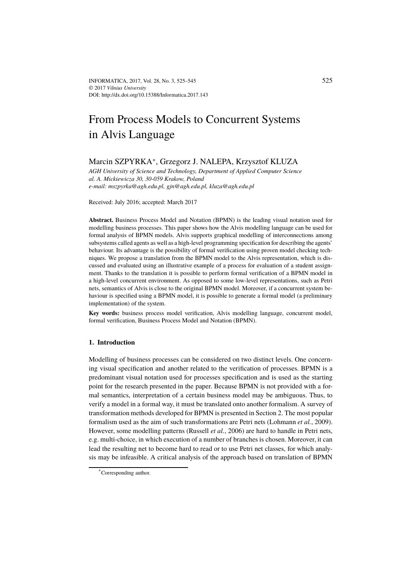# From Process Models to Concurrent Systems in Alvis Language

# Marcin SZPYRKA<sup>∗</sup> , Grzegorz J. NALEPA, Krzysztof KLUZA

*AGH University of Science and Technology, Department of Applied Computer Science al. A. Mickiewicza 30, 30-059 Krakow, Poland e-mail: mszpyrka@agh.edu.pl, gjn@agh.edu.pl, kluza@agh.edu.pl*

Received: July 2016; accepted: March 2017

**Abstract.** Business Process Model and Notation (BPMN) is the leading visual notation used for modelling business processes. This paper shows how the Alvis modelling language can be used for formal analysis of BPMN models. Alvis supports graphical modelling of interconnections among subsystems called agents as well as a high-level programming specification for describing the agents' behaviour. Its advantage is the possibility of formal verification using proven model checking techniques. We propose a translation from the BPMN model to the Alvis representation, which is discussed and evaluated using an illustrative example of a process for evaluation of a student assignment. Thanks to the translation it is possible to perform formal verification of a BPMN model in a high-level concurrent environment. As opposed to some low-level representations, such as Petri nets, semantics of Alvis is close to the original BPMN model. Moreover, if a concurrent system behaviour is specified using a BPMN model, it is possible to generate a formal model (a preliminary implementation) of the system.

**Key words:** business process model verification, Alvis modelling language, concurrent model, formal verification, Business Process Model and Notation (BPMN).

# **1. Introduction**

Modelling of business processes can be considered on two distinct levels. One concerning visual specification and another related to the verification of processes. BPMN is a predominant visual notation used for processes specification and is used as the starting point for the research presented in the paper. Because BPMN is not provided with a formal semantics, interpretation of a certain business model may be ambiguous. Thus, to verify a model in a formal way, it must be translated onto another formalism. A survey of transformation methods developed for BPMN is presented in Section 2. The most popular formalism used as the aim of such transformations are Petri nets (Lohmann *et al.*, 2009). However, some modelling patterns (Russell *et al.*, 2006) are hard to handle in Petri nets, e.g. multi-choice, in which execution of a number of branches is chosen. Moreover, it can lead the resulting net to become hard to read or to use Petri net classes, for which analysis may be infeasible. A critical analysis of the approach based on translation of BPMN

<sup>\*</sup>Corresponding author.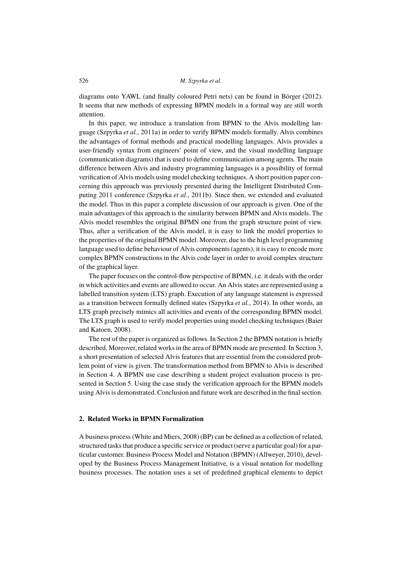diagrams onto YAWL (and finally coloured Petri nets) can be found in Börger (2012). It seems that new methods of expressing BPMN models in a formal way are still worth attention.

In this paper, we introduce a translation from BPMN to the Alvis modelling language (Szpyrka *et al.*, 2011a) in order to verify BPMN models formally. Alvis combines the advantages of formal methods and practical modelling languages. Alvis provides a user-friendly syntax from engineers' point of view, and the visual modelling language (communication diagrams) that is used to define communication among agents. The main difference between Alvis and industry programming languages is a possibility of formal verification of Alvis models using model checking techniques. A short position paper concerning this approach was previously presented during the Intelligent Distributed Computing 2011 conference (Szpyrka *et al.*, 2011b). Since then, we extended and evaluated the model. Thus in this paper a complete discussion of our approach is given. One of the main advantages of this approach is the similarity between BPMN and Alvis models. The Alvis model resembles the original BPMN one from the graph structure point of view. Thus, after a verification of the Alvis model, it is easy to link the model properties to the properties of the original BPMN model. Moreover, due to the high level programming language used to define behaviour of Alvis components (agents), it is easy to encode more complex BPMN constructions in the Alvis code layer in order to avoid complex structure of the graphical layer.

The paper focuses on the control-flow perspective of BPMN, i.e. it deals with the order in which activities and events are allowed to occur. An Alvisstates are represented using a labelled transition system (LTS) graph. Execution of any language statement is expressed as a transition between formally defined states (Szpyrka *et al.*, 2014). In other words, an LTS graph precisely mimics all activities and events of the corresponding BPMN model. The LTS graph is used to verify model properties using model checking techniques (Baier and Katoen, 2008).

The rest of the paper is organized as follows. In Section 2 the BPMN notation is briefly described. Moreover, related works in the area of BPMN mode are presented. In Section 3, a short presentation of selected Alvis features that are essential from the considered problem point of view is given. The transformation method from BPMN to Alvis is described in Section 4. A BPMN use case describing a student project evaluation process is presented in Section 5. Using the case study the verification approach for the BPMN models using Alvis is demonstrated. Conclusion and future work are described in the final section.

# **2. Related Works in BPMN Formalization**

A business process (White and Miers, 2008) (BP) can be defined as a collection of related, structured tasks that produce a specific service or product (serve a particular goal) for a particular customer. Business Process Model and Notation (BPMN) (Allweyer, 2010), developed by the Business Process Management Initiative, is a visual notation for modelling business processes. The notation uses a set of predefined graphical elements to depict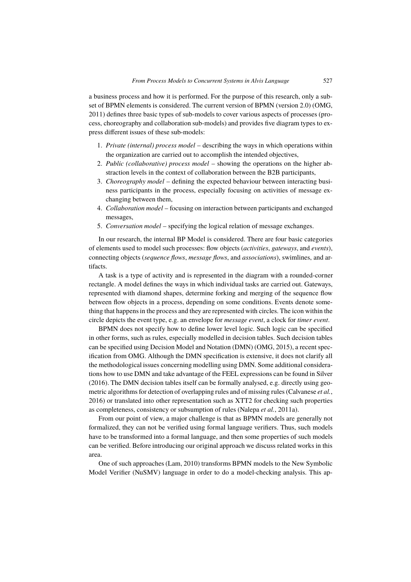a business process and how it is performed. For the purpose of this research, only a subset of BPMN elements is considered. The current version of BPMN (version 2.0) (OMG, 2011) defines three basic types of sub-models to cover various aspects of processes (process, choreography and collaboration sub-models) and provides five diagram types to express different issues of these sub-models:

- 1. *Private (internal) process model* describing the ways in which operations within the organization are carried out to accomplish the intended objectives,
- 2. *Public (collaborative) process model* showing the operations on the higher abstraction levels in the context of collaboration between the B2B participants,
- 3. *Choreography model* defining the expected behaviour between interacting business participants in the process, especially focusing on activities of message exchanging between them,
- 4. *Collaboration model* focusing on interaction between participants and exchanged messages,
- 5. *Conversation model* specifying the logical relation of message exchanges.

In our research, the internal BP Model is considered. There are four basic categories of elements used to model such processes: flow objects (*activities*, *gateways*, and *events*), connecting objects (*sequence flows*, *message flows*, and *associations*), swimlines, and artifacts.

A task is a type of activity and is represented in the diagram with a rounded-corner rectangle. A model defines the ways in which individual tasks are carried out. Gateways, represented with diamond shapes, determine forking and merging of the sequence flow between flow objects in a process, depending on some conditions. Events denote something that happens in the process and they are represented with circles. The icon within the circle depicts the event type, e.g. an envelope for *message event*, a clock for *timer event*.

BPMN does not specify how to define lower level logic. Such logic can be specified in other forms, such as rules, especially modelled in decision tables. Such decision tables can be specified using Decision Model and Notation (DMN) (OMG, 2015), a recent specification from OMG. Although the DMN specification is extensive, it does not clarify all the methodological issues concerning modelling using DMN. Some additional considerations how to use DMN and take advantage of the FEEL expressions can be found in Silver (2016). The DMN decision tables itself can be formally analysed, e.g. directly using geometric algorithms for detection of overlapping rules and of missing rules (Calvanese *et al.*, 2016) or translated into other representation such as XTT2 for checking such properties as completeness, consistency or subsumption of rules (Nalepa *et al.*, 2011a).

From our point of view, a major challenge is that as BPMN models are generally not formalized, they can not be verified using formal language verifiers. Thus, such models have to be transformed into a formal language, and then some properties of such models can be verified. Before introducing our original approach we discuss related works in this area.

One of such approaches (Lam, 2010) transforms BPMN models to the New Symbolic Model Verifier (NuSMV) language in order to do a model-checking analysis. This ap-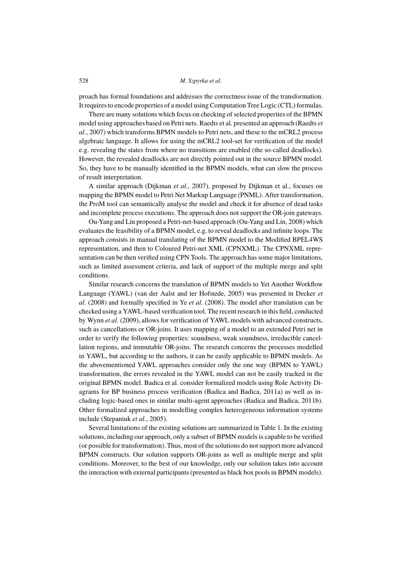proach has formal foundations and addresses the correctness issue of the transformation. It requires to encode properties of a model using Computation Tree Logic (CTL) formulas.

There are many solutions which focus on checking of selected properties of the BPMN model using approaches based on Petri nets. Raedts et al. presented an approach (Raedts *et al.*, 2007) which transforms BPMN models to Petri nets, and these to the mCRL2 process algebraic language. It allows for using the mCRL2 tool-set for verification of the model e.g. revealing the states from where no transitions are enabled (the so-called deadlocks). However, the revealed deadlocks are not directly pointed out in the source BPMN model. So, they have to be manually identified in the BPMN models, what can slow the process of result interpretation.

A similar approach (Dijkman *et al.*, 2007), proposed by Dijkman et al., focuses on mapping the BPMN model to Petri Net Markup Language (PNML). After transformation, the ProM tool can semantically analyse the model and check it for absence of dead tasks and incomplete process executions. The approach does not support the OR-join gateways.

Ou-Yang and Lin proposed a Petri-net-based approach (Ou-Yang and Lin, 2008) which evaluates the feasibility of a BPMN model, e.g. to reveal deadlocks and infinite loops. The approach consists in manual translating of the BPMN model to the Modified BPEL4WS representation, and then to Coloured Petri-net XML (CPNXML). The CPNXML representation can be then verified using CPN Tools. The approach has some major limitations, such as limited assessment criteria, and lack of support of the multiple merge and split conditions.

Similar research concerns the translation of BPMN models to Yet Another Workflow Language (YAWL) (van der Aalst and ter Hofstede, 2005) was presented in Decker *et al.* (2008) and formally specified in Ye *et al.* (2008). The model after translation can be checked using a YAWL-based verification tool. The recent research in this field, conducted by Wynn *et al.* (2009), allows for verification of YAWL models with advanced constructs, such as cancellations or OR-joins. It uses mapping of a model to an extended Petri net in order to verify the following properties: soundness, weak soundness, irreducible cancellation regions, and immutable OR-joins. The research concerns the processes modelled in YAWL, but according to the authors, it can be easily applicable to BPMN models. As the abovementioned YAWL approaches consider only the one way (BPMN to YAWL) transformation, the errors revealed in the YAWL model can not be easily tracked in the original BPMN model. Badica et al. consider formalized models using Role Activity Diagrams for BP business process verification (Badica and Badica, 2011a) as well as including logic-based ones in similar multi-agent approaches (Badica and Badica, 2011b). Other formalized approaches in modelling complex heterogeneous information systems include (Stepaniuk *et al.*, 2005).

Several limitations of the existing solutions are summarized in Table 1. In the existing solutions, including our approach, only a subset of BPMN models is capable to be verified (or possible for transformation). Thus, most of the solutions do not support more advanced BPMN constructs. Our solution supports OR-joins as well as multiple merge and split conditions. Moreover, to the best of our knowledge, only our solution takes into account the interaction with external participants (presented as black box pools in BPMN models).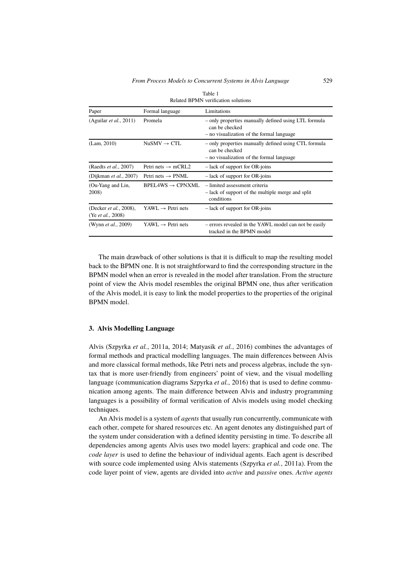| Related DF MIN Verification solutions                       |                                |                                                                                                                     |
|-------------------------------------------------------------|--------------------------------|---------------------------------------------------------------------------------------------------------------------|
| Paper                                                       | Formal language                | Limitations                                                                                                         |
| (Aguilar <i>et al.</i> , 2011)                              | Promela                        | - only properties manually defined using LTL formula<br>can be checked<br>- no visualization of the formal language |
| (Lam, 2010)                                                 | $NuSMV \rightarrow CTL$        | - only properties manually defined using CTL formula<br>can be checked<br>- no visualization of the formal language |
| (Raedts <i>et al.</i> , 2007)                               | Petri nets $\rightarrow$ mCRL2 | - lack of support for OR-joins                                                                                      |
| (Dijkman <i>et al.</i> , 2007)                              | Petri nets $\rightarrow$ PNML  | - lack of support for OR-joins                                                                                      |
| (Ou-Yang and Lin,<br>2008)                                  | $BPEIAWS \rightarrow CPNXMI$ . | - limited assessment criteria<br>- lack of support of the multiple merge and split<br>conditions                    |
| (Decker <i>et al.</i> , 2008),<br>(Ye <i>et al.</i> , 2008) | $YAWL \rightarrow Petri$ nets  | - lack of support for OR-joins                                                                                      |
| (Wynn <i>et al.</i> , 2009)                                 | $YAWL \rightarrow Petri$ nets  | - errors revealed in the YAWL model can not be easily<br>tracked in the BPMN model                                  |

Table 1 Related BPMN verification solutions

The main drawback of other solutions is that it is difficult to map the resulting model back to the BPMN one. It is not straightforward to find the corresponding structure in the BPMN model when an error is revealed in the model after translation. From the structure point of view the Alvis model resembles the original BPMN one, thus after verification of the Alvis model, it is easy to link the model properties to the properties of the original BPMN model.

# **3. Alvis Modelling Language**

Alvis (Szpyrka *et al.*, 2011a, 2014; Matyasik *et al.*, 2016) combines the advantages of formal methods and practical modelling languages. The main differences between Alvis and more classical formal methods, like Petri nets and process algebras, include the syntax that is more user-friendly from engineers' point of view, and the visual modelling language (communication diagrams Szpyrka *et al.*, 2016) that is used to define communication among agents. The main difference between Alvis and industry programming languages is a possibility of formal verification of Alvis models using model checking techniques.

An Alvis model is a system of *agents* that usually run concurrently, communicate with each other, compete for shared resources etc. An agent denotes any distinguished part of the system under consideration with a defined identity persisting in time. To describe all dependencies among agents Alvis uses two model layers: graphical and code one. The *code layer* is used to define the behaviour of individual agents. Each agent is described with source code implemented using Alvis statements (Szpyrka *et al.*, 2011a). From the code layer point of view, agents are divided into *active* and *passive* ones. *Active agents*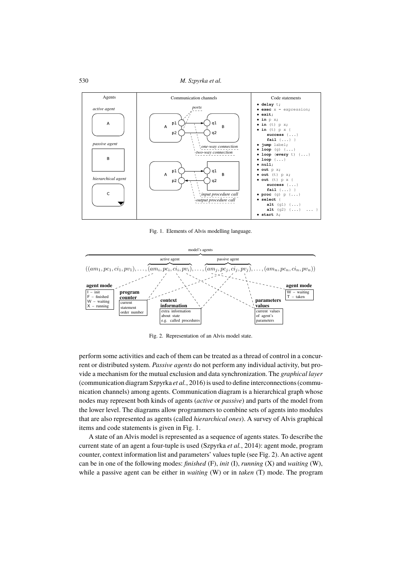

Fig. 1. Elements of Alvis modelling language.



perform some activities and each of them can be treated as a thread of control in a concurrent or distributed system. Passive agents do not perform any individual activity, but provide a mechanism for the mutual exclusion and data synchronization. The *graphical layer* (communication diagram Szpyrka et al., 2016) is used to define interconnections (communication channels) among agents. Communication diagram is a hierarchical graph whose nodes may represent both kinds of agents (active or passive) and parts of the model from the lower level. The diagrams allow programmers to combine sets of agents into modules that are also represented as agents (called hierarchical ones). A survey of Alvis graphical items and code statements is given in Fig. 1.

A state of an Alvis model is represented as a sequence of agents states. To describe the current state of an agent a four-tuple is used (Szpyrka et al., 2014): agent mode, program counter, context information list and parameters' values tuple (see Fig. 2). An active agent can be in one of the following modes: finished (F), init (I), running (X) and waiting (W), while a passive agent can be either in *waiting* (W) or in *taken* (T) mode. The program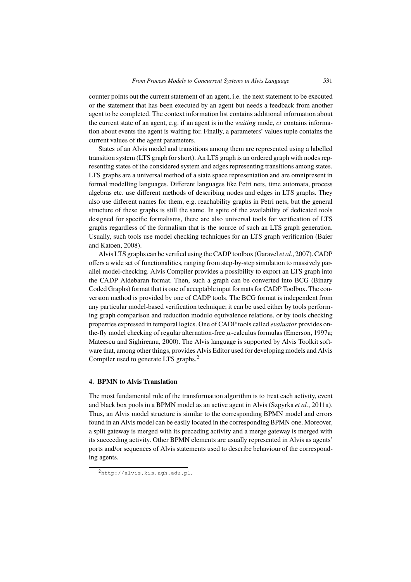counter points out the current statement of an agent, i.e. the next statement to be executed or the statement that has been executed by an agent but needs a feedback from another agent to be completed. The context information list contains additional information about the current state of an agent, e.g. if an agent is in the *waiting* mode, ci contains information about events the agent is waiting for. Finally, a parameters' values tuple contains the current values of the agent parameters.

States of an Alvis model and transitions among them are represented using a labelled transition system (LTS graph for short). An LTS graph is an ordered graph with nodes representing states of the considered system and edges representing transitions among states. LTS graphs are a universal method of a state space representation and are omnipresent in formal modelling languages. Different languages like Petri nets, time automata, process algebras etc. use different methods of describing nodes and edges in LTS graphs. They also use different names for them, e.g. reachability graphs in Petri nets, but the general structure of these graphs is still the same. In spite of the availability of dedicated tools designed for specific formalisms, there are also universal tools for verification of LTS graphs regardless of the formalism that is the source of such an LTS graph generation. Usually, such tools use model checking techniques for an LTS graph verification (Baier and Katoen, 2008).

Alvis LTS graphs can be verified using the CADP toolbox (Garavel *et al.*, 2007). CADP offers a wide set of functionalities, ranging from step-by-step simulation to massively parallel model-checking. Alvis Compiler provides a possibility to export an LTS graph into the CADP Aldebaran format. Then, such a graph can be converted into BCG (Binary Coded Graphs) format that is one of acceptable input formatsfor CADP Toolbox. The conversion method is provided by one of CADP tools. The BCG format is independent from any particular model-based verification technique; it can be used either by tools performing graph comparison and reduction modulo equivalence relations, or by tools checking properties expressed in temporal logics. One of CADP tools called *evaluator* provides onthe-fly model checking of regular alternation-free  $\mu$ -calculus formulas (Emerson, 1997a; Mateescu and Sighireanu, 2000). The Alvis language is supported by Alvis Toolkit software that, among other things, provides Alvis Editor used for developing models and Alvis Compiler used to generate LTS graphs.<sup>2</sup>

# **4. BPMN to Alvis Translation**

The most fundamental rule of the transformation algorithm is to treat each activity, event and black box pools in a BPMN model as an active agent in Alvis (Szpyrka *et al.*, 2011a). Thus, an Alvis model structure is similar to the corresponding BPMN model and errors found in an Alvis model can be easily located in the corresponding BPMN one. Moreover, a split gateway is merged with its preceding activity and a merge gateway is merged with its succeeding activity. Other BPMN elements are usually represented in Alvis as agents' ports and/or sequences of Alvis statements used to describe behaviour of the corresponding agents.

<sup>2</sup>http://alvis.kis.agh.edu.pl.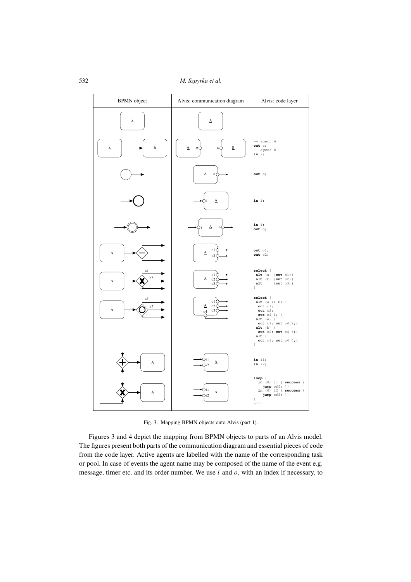532 *M. Szpyrka et al.* 



The figures present both parts of the communication diagram and essential pieces of code from the code layer. Active agents are labelled with the name of the corresponding task or pool. In case of events the agent name may be composed of the name of the event e.g. message, timer etc. and its order number. We use  $i$  and  $o$ , with an index if necessary, to Figures 3 and 4 depict the mapping from BPMN objects to parts of an Alvis model.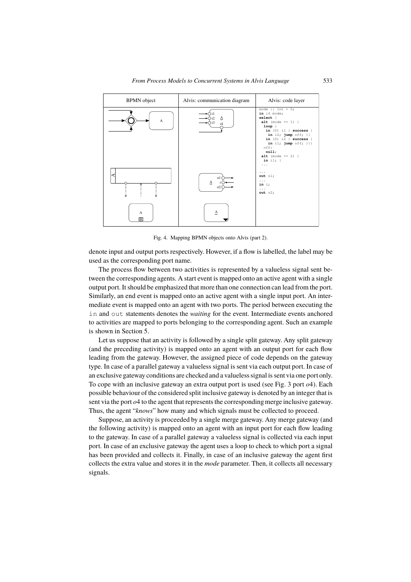

Fig. 4. Mapping BPMN objects onto Alvis (part 2).

denote input and output ports respectively. However, if a flow is labelled, the label may be used as the corresponding port name.

The process flow between two activities is represented by a valueless signal sent between the corresponding agents. A start event is mapped onto an active agent with a single output port. It should be emphasized that more than one connection can lead from the port. Similarly, an end event is mapped onto an active agent with a single input port. An intermediate event is mapped onto an agent with two ports. The period between executing the in and out statements denotes the *waiting* for the event. Intermediate events anchored to activities are mapped to ports belonging to the corresponding agent. Such an example is shown in Section 5.

Let us suppose that an activity is followed by a single split gateway. Any split gateway reading from the gateway. However, the assigned prece of esde depends on the gateway<br>type. In case of a parallel gateway a valueless signal is sent via each output port. In case of ✐❢ .❤❡ ♥✉♠❜❡4 ♦❢ ✐♥/.❛♥❝❡/ ♠❛② ❜❡ ❞❡.❡4♠✐♥❡❞ ❛. .❤❡ ❞❡/✐❣♥ .✐♠❡✳ ❲❡ ❞♦ ♥♦. ❞❡❛❧ an exclusive gateway conditions are checked and a valuelesssignal is sent via one port only. To cope with an inclusive gateway an extra output port is used (see Fig. 3 port  $o4$ ). Each to vepe with an inclusive gateway an entra superpersons assumed to provide the provident inclusive possible behaviour of the considered split inclusive gateway is denoted by an integer that is positive vertices of the vertices of productive gateway is according merge inclusive gateway. Thus, the agent "*knows*" how many and which signals must be collected to proceed. (and the preceding activity) is mapped onto an agent with an output port for each flow leading from the gateway. However, the assigned piece of code depends on the gateway

❋✐♥❛❧❧②✱ ❧❡. ✉/ ❡①♣❧❛✐♥ ❤♦✇ .♦ ❝♦♣❡ ✇✐.❤ ❛ /❡I✉❡♥❝❡ ♦❢ ❣❛.❡✇❛②/✳ ❆♥ ❡①❛♠♣❧❡ ♦❢ Suppose, an activity is proceeded by a single merge gateway. Any merge gateway (and the following activity) is mapped onto an agent with an input port for each flow leading to the gateway. In case of a parallel gateway a valueless signal is collected via each input port. In case of an exclusive gateway the agent uses a loop to check to which port a signal has been provided and collects it. Finally, in case of an inclusive gateway the agent first collects the extra value and stores it in the *mode* parameter. Then, it collects all necessary signals.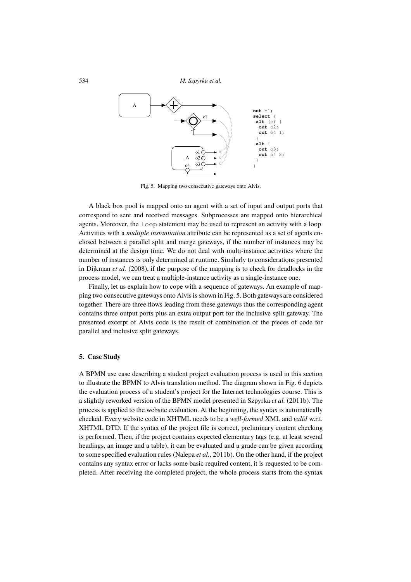

Fig. 5. Mapping two consecutive gateways onto Alvis.

A black box pool is mapped onto an agent with a set of input and output ports that correspond to sent and received messages. Subprocesses are mapped onto hierarchical agents. Moreover, the loop statement may be used to represent an activity with a loop. Activities with a *multiple instantiation* attribute can be represented as a set of agents enclosed between a parallel split and merge gateways, if the number of instances may be determined at the design time. We do not deal with multi-instance activities where the number of instances is only determined at runtime. Similarly to considerations presented in Dijkman *et al.* (2008), if the purpose of the mapping is to check for deadlocks in the process model, we can treat a multiple-instance activity as a single-instance one.

Finally, let us explain how to cope with a sequence of gateways. An example of mapping two consecutive gateways onto Alvis is shown in Fig. 5. Both gateways are considered together. There are three flows leading from these gateways thus the corresponding agent contains three output ports plus an extra output port for the inclusive split gateway. The presented excerpt of Alvis code is the result of combination of the pieces of code for parallel and inclusive split gateways.

# **5. Case Study**

A BPMN use case describing a student project evaluation process is used in this section to illustrate the BPMN to Alvis translation method. The diagram shown in Fig. 6 depicts the evaluation process of a student's project for the Internet technologies course. This is a slightly reworked version of the BPMN model presented in Szpyrka *et al.* (2011b). The process is applied to the website evaluation. At the beginning, the syntax is automatically checked. Every website code in XHTML needs to be a *well-formed* XML and *valid* w.r.t. XHTML DTD. If the syntax of the project file is correct, preliminary content checking is performed. Then, if the project contains expected elementary tags (e.g. at least several headings, an image and a table), it can be evaluated and a grade can be given according to some specified evaluation rules (Nalepa *et al.*, 2011b). On the other hand, if the project contains any syntax error or lacks some basic required content, it is requested to be completed. After receiving the completed project, the whole process starts from the syntax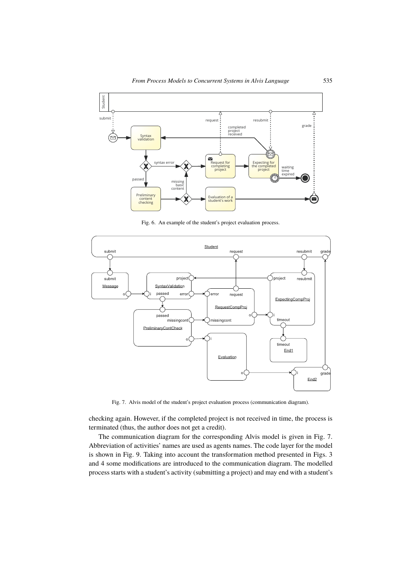

Fig. 6. An example of the student's project evaluation process.



Fig. 7. Alvis model of the student's project evaluation process (communication diagram).

checking again. However, if the completed project is not received in time, the process is terminated (thus, the author does not get a credit).

The communication diagram for the corresponding Alvis model is given in Fig. 7. Abbreviation of activities' names are used as agents names. The code layer for the model is shown in Fig. 9. Taking into account the transformation method presented in Figs. 3 and 4 some modifications are introduced to the communication diagram. The modelled process starts with a student's activity (submitting a project) and may end with a student's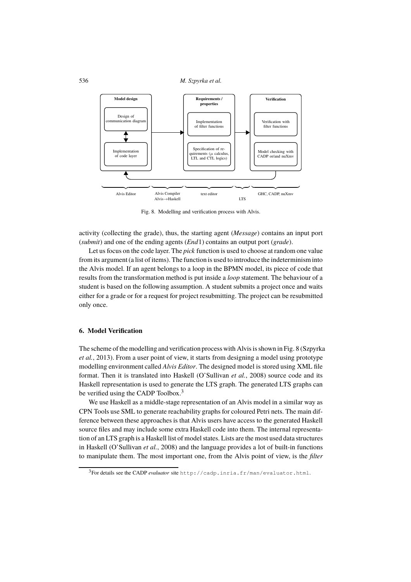

Fig. 8. Modelling and verification process with Alvis.

activity (collecting the grade), thus, the starting agent (*Message*) contains an input port **EVARY** (conceding the grade), thus, the starting agent (*incistage*) contains an inpareport (*grade*).

(shown) and one of the ending agents (*Eha* 1) contains an oatput port (*graac*).<br>Let us focus on the code layer. The *pick* function is used to choose at random one value Ect as rocas on the code hayer. The *plen* ranction is ased to enoose at random one vanted from its argument (a list of items). The function is used to introduce the indeterminism into the Alvis model. It an agent belongs to a loop in the BI MIN model, its piece of code that results from the transformation method is put inside a *loop* statement. The behaviour of a resuns from the transformation include is put inside a *toop* statement. The ochaviour or a student is based on the following assumption. A student submits a project once and waits the Alvis model. If an agent belongs to a loop in the BPMN model, its piece of code that either for a grade or for a request for project resubmitting. The project can be resubmitted only once.

# **6. Model Verification**

The scheme of the modelling and verification process with Alvis is shown in Fig. 8 (Szpyrka *et al.*, 2013). From a user point of view, it starts from designing a model using prototype modelling environment called *Alvis Editor*. The designed model is stored using XML file format. Then it is translated into Haskell (O'Sullivan *et al.*, 2008) source code and its Haskell representation is used to generate the LTS graph. The generated LTS graphs can be verified using the CADP Toolbox.<sup>3</sup>

We use Haskell as a middle-stage representation of an Alvis model in a similar way as CPN Tools use SML to generate reachability graphs for coloured Petri nets. The main difference between these approaches is that Alvis users have access to the generated Haskell source files and may include some extra Haskell code into them. The internal representation of an LTS graph is a Haskell list of model states. Lists are the most used data structures in Haskell (O'Sullivan *et al.*, 2008) and the language provides a lot of built-in functions to manipulate them. The most important one, from the Alvis point of view, is the *filter*

<sup>3</sup>For details see the CADP *evaluator* site http://cadp.inria.fr/man/evaluator.html.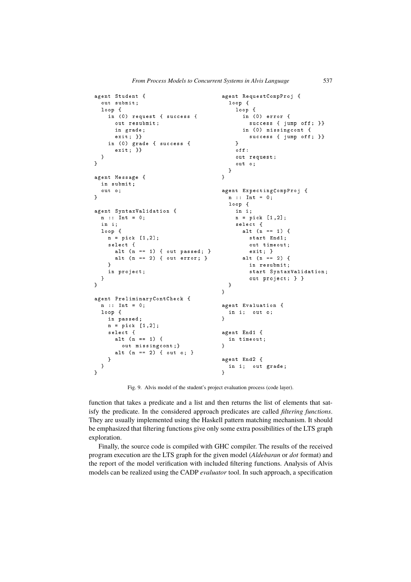```
agent Student {
  out submit;
  loop {
     in (0) request { success {
       out resubmit;
       in grade;
       exit; }}
     in (0) grade { success {
       exit: ]\overline{\phantom{a}}\mathbf{a}agent Message {
  in submit;
  out o:
\overline{\mathbf{a}}agent SyntaxValidation {
  n : : Int = 0in i:
  loop {
    n = pick [1, 2];select {
       alt (n == 1) { out passed; }
       alt (n == 2) { out error; }
     \mathfrak{g}in project;
  \overline{\phantom{a}}\overline{ }agent PreliminaryContCheck {
  n : Int = 0;
  loop {
    in passed;
     n = pick [1, 2];select {
       alt (n == 1) {
         out missingcont:}
       alt (n == 2) { out o; }
     \overline{\mathbf{a}}\overline{\ }\mathbf{a}agent RequestCompProj {
                                                  loop {
                                                    loop {
                                                      in (0) error {
                                                         success { jump off; }}
                                                       in (0) missingcont {
                                                         success { jump off; }}
                                                    \overline{ }0 + fout request;
                                                    out o:
                                                 ⑥
                                               \overline{\mathbf{a}}agent ExpectingCompProj {
                                                 n : : Int = 0;loop {
                                                    in i;
                                                    n = pick [1, 2];select {
                                                      alt (n == 1) {
                                                         start Endi;
                                                         out timeout;
                                                         exit; }
                                                       alt (n == 2) {
                                                         in resubmit;
                                                          start SyntaxValidation;
                                                          out project; } }
                                                 \overline{\phantom{a}}\mathbf{D}agent Evaluation {
                                                 in i; out \circ;
                                               \mathbf{D}agent End1 {
                                                 in timeout;
                                               \mathbf{a}agent End2 {
                                                  in i; out grade;
                                               \mathbf{a}
```
Fig. 9. Alvis model of the student's project evaluation process (code layer).

function that takes a predicate and a list and then returns the list of elements that satisfy the predicate. In the considered approach predicates are called *filtering functions*. They are usually implemented using the Haskell pattern matching mechanism. It should be emphasized that filtering functions give only some extra possibilities of the LTS graph Tration. **■** ◆ ↑ exploration.

Finally, the source code is compiled with GHC compiler. The results of the received the report of the model verification with included filtering functions. Analysis of Alvis program execution are the LTS graph for the given model (*Aldebaran* or *dot* format) and models can be realized using the CADP *evaluator* tool. In such approach, a specification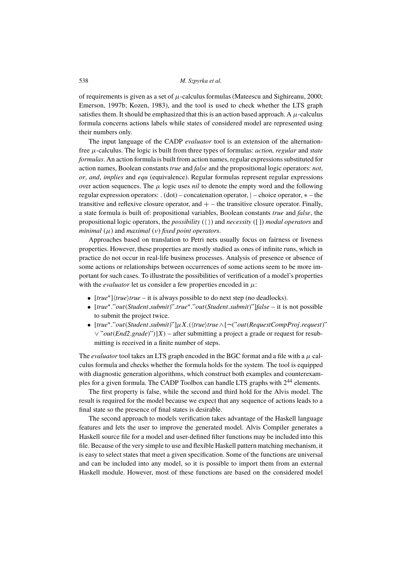of requirements is given as a set of  $\mu$ -calculus formulas (Mateescu and Sighireanu, 2000; Emerson, 1997b; Kozen, 1983), and the tool is used to check whether the LTS graph satisfies them. It should be emphasized that this is an action based approach. A  $\mu$ -calculus formula concerns actions labels while states of considered model are represented using their numbers only.

The input language of the CADP *evaluator* tool is an extension of the alternationfree  $\mu$ -calculus. The logic is built from three types of formulas: *action, regular* and *state formulas*. An action formula is built from action names, regular expressions substituted for action names, Boolean constants *true* and *false* and the propositional logic operators: *not*, *or*, *and*, *implies* and *equ* (equivalence). Regular formulas represent regular expressions over action sequences. The  $\mu$  logic uses *nil* to denote the empty word and the following regular expression operators: . (dot) – concatenation operator,  $|$  – choice operator,  $*$  – the transitive and reflexive closure operator, and  $+$  – the transitive closure operator. Finally, a state formula is built of: propositional variables, Boolean constants *true* and *false*, the propositional logic operators, the *possibility* ( $\langle \rangle$ ) and *necessity* ([]) *modal operators* and *minimal*  $(\mu)$  and *maximal*  $(\nu)$  *fixed point operators.* 

Approaches based on translation to Petri nets usually focus on fairness or liveness properties. However, these properties are mostly studied as ones of infinite runs, which in practice do not occur in real-life business processes. Analysis of presence or absence of some actions or relationships between occurrences of some actions seem to be more important for such cases. To illustrate the possibilities of verification of a model's properties with the *evaluator* let us consider a few properties encoded in  $\mu$ :

- [*true*<sup>∗</sup> ]h*true*i*true* it is always possible to do next step (no deadlocks).
- [*true*<sup>∗</sup> ."*out*(*Student*.*submit*)".*true*<sup>∗</sup> ."*out*(*Student*.*submit*)"]*false* it is not possible to submit the project twice.
- [*true*<sup>∗</sup> ."*out*(*Student*.*submit*)"]µX.(h*true*i*true*∧[¬("*out*(*RequestCompProj*.*request*)" ∨ "*out*(*End2*.*grade*)")]X) – after submitting a project a grade or request for resubmitting is received in a finite number of steps.

The *evaluator* tool takes an LTS graph encoded in the BGC format and a file with a  $\mu$  calculus formula and checks whether the formula holds for the system. The tool is equipped with diagnostic generation algorithms, which construct both examples and counterexamples for a given formula. The CADP Toolbox can handle LTS graphs with 2 <sup>44</sup> elements.

The first property is false, while the second and third hold for the Alvis model. The result is required for the model because we expect that any sequence of actions leads to a final state so the presence of final states is desirable.

The second approach to models verification takes advantage of the Haskell language features and lets the user to improve the generated model. Alvis Compiler generates a Haskell source file for a model and user-defined filter functions may be included into this file. Because of the very simple to use and flexible Haskell pattern matching mechanism, it is easy to select states that meet a given specification. Some of the functions are universal and can be included into any model, so it is possible to import them from an external Haskell module. However, most of these functions are based on the considered model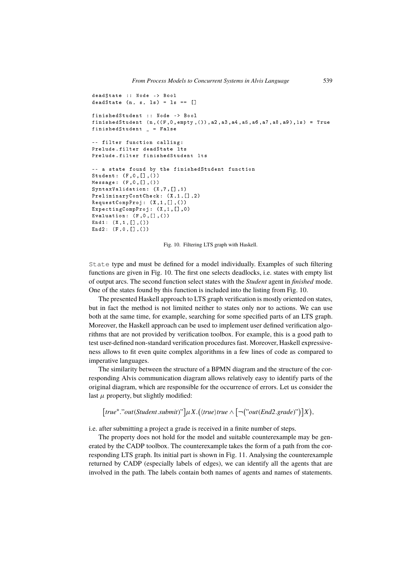```
deadState :: Node -> Bool
deadState (n, s, ls) = ls == []
finishedStudent :: Node -> Bool
fin is hedStudent (n, ((F, 0, empty, ())), a2, a3, a4, a5, a6, a7, a8, a9), ls) = True
finishedStudent _ = False
-- filter function calling:
Prelude.filter deadState lts
Prelude.filter finishedStudent lts
-- a state found by the finishedStudent function
Student: (F, 0, [], ())
Message: (F, 0, [], ())SyntaxValidation: (X, 7, [],1)
PreliminaryContCheck: (X,1,[],2)
\texttt{RequestCompProj}: (\texttt{X}, \texttt{1}, [\texttt{]}, \texttt{()})ExpectingCompProj: (X, 1, [],0)
Evaluation: (F, 0, [],())End1: (X, 1, [] , ()End2: (F, 0, [], ())
```
Fig. 10. Filtering LTS graph with Haskell.

✑ ✑ State type and must be defined for a model individually. Examples of such filtering functions are given in Fig. 10. The first one selects deadlocks, i.e. states with empty list of output arcs. The second function select states with the *Student* agent in *finished* mode. One of the states found by this function is included into the listing from Fig. 10.

From presence rushed a procence  $\Delta x \leq y \leq p$ . We mean is message oriented on states, As a mode in the same time, for example, searching for some specified parts of an LTS graph.  $\bullet$  50  $\bullet$  at the same time, for example, scalenting for some specification of an ETS graph.<br>Moreover, the Haskell approach can be used to implement user defined verification algorithms that are not provided by verification toolbox. For example, this is a good path to ranns and are not provided by vermeation toolbox. For example, and is a good pain to<br>test user-defined non-standard verification procedures fast. Moreover, Haskell expressive- $\frac{1}{2}$   $\frac{1}{2}$   $\frac{1}{2}$   $\frac{1}{2}$   $\frac{1}{2}$   $\frac{1}{2}$   $\frac{1}{2}$   $\frac{1}{2}$   $\frac{1}{2}$   $\frac{1}{2}$   $\frac{1}{2}$   $\frac{1}{2}$   $\frac{1}{2}$   $\frac{1}{2}$   $\frac{1}{2}$   $\frac{1}{2}$   $\frac{1}{2}$   $\frac{1}{2}$   $\frac{1}{2}$   $\frac{1}{2}$   $\frac{1}{2}$   $\frac{1}{2}$   $\$ ness allows to fit even quite complex algorithms in a few lines of code as compared to The presented Haskell approach to LTS graph verification is mostly oriented on states, imperative languages.

where the similarity between the structure of a BPMN diagram and the structure of the corric similarly between the structure of a DI MIN diagram and the structure of the corresponding Alvis communication diagram allows relatively easy to identify parts of the Usponding Aivis communication diagram anows relatively easy to identify parts of the original diagram, which are responsible for the occurrence of errors. Let us consider the last  $\mu$  property, but slightly modified:

```
♠❛#❝❤✐♥❣ ♠❡❝❤❛♥✐0♠✱ ✐# ✐0 ❡❛0② #♦ 0❡❧❡❝# 0#❛#❡0 #❤❛# ♠❡❡#0 ❛ ❣✐✈❡♥ 0♣❡❝✐✜❝❛#✐♦♥✳
[true^*."out(Student.submit)"] \mu X.(\langle true \rangle true \wedge [\neg("out(End2.grade)")] X),
```
i.e. after submitting a project a grade is received in a finite number of steps.

The property does not hold for the model and suitable counterexample may be generated by the CADP toolbox. The counterexample takes the form of a path from the corresponding LTS graph. Its initial part is shown in Fig. 11. Analysing the counterexample returned by CADP (especially labels of edges), we can identify all the agents that are involved in the path. The labels contain both names of agents and names of statements.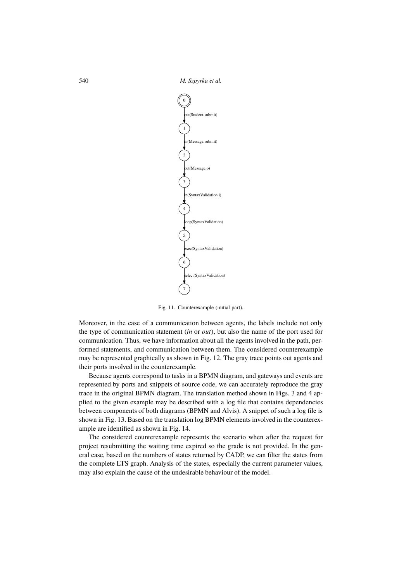540 *M. Szpyrka et al.*  $\frac{748}{16}$ 



Fig. 11. Counterexample (initial part).

the type of communication statement (*in* or *out*), but also the name of the port used for communication. Thus, we have information about all the agents involved in the path, performed statements, and communication between them. The considered counterexample may be represented graphically as shown in Fig. 12. The gray trace points out agents and Moreover, in the case of a communication between agents, the labels include not only their ports involved in the counterexample.

A also ports involved in the counterexample.<br>Because agents correspond to tasks in a BPMN diagram, and gateways and events are Exambe ugents extrepents to tasks in a EFTA. Unigram, and givently same events are represented by ports and snippets of source code, we can accurately reproduce the gray trace in the original BPMN diagram. The translation method shown in Figs. 3 and 4 applied to the given example may be described with a log file that contains dependencies between components of both diagrams (BPMN and Alvis). A snippet of such a log file is shown in Fig. 13. Based on the translation log BPMN elements involved in the counterexample are identified as shown in Fig. 14.

The considered counterexample represents the scenario when after the request for project resubmiting the watung time express so the grade is not provided. In the general case, based on the numbers of states returned by CADP, we can filter the states from the complete LTS graph. Analysis of the states, especially the current parameter values, may also explain the cause of the undesirable behaviour of the model. project resubmitting the waiting time expired so the grade is not provided. In the gen-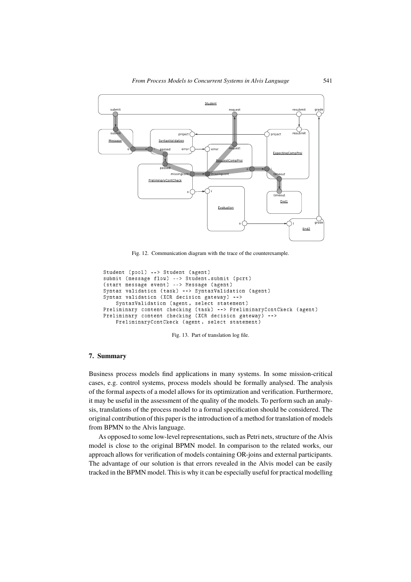

Fig. 12. Communication diagram with the trace of the counterexample.

```
Student (pool) --> Student (agent)
submit (message flow) --> Student.submit (port)
(start message event) --> Message (agent)
Syntax validation (task) --> SyntaxValidation (agent)
Syntax validation (XOR decision gateway) -->
   SyntaxValidation (agent, select statement)
Preliminary content checking (task) --> PreliminaryContCkeck (agent)
Preliminary content checking (XOR decision gateway) -->
    PreliminaryContCkeck (agent, select statement)
```
Fig. 13. Part of translation log file.

## **7. Summary**

Business process models find applications in many systems. In some mission-critical cases, e.g. control systems, process models should be formally analysed. The analysis of the formal aspects of a model allows for its optimization and verification. Furthermore, it may be useful in the assessment of the quality of the models. To perform such an analysis, translations of the process model to a formal specification should be considered. The original contribution of this paper is the introduction of a method for translation of models from BPMN to the Alvis language.

As opposed to some low-level representations, such as Petri nets, structure of the Alvis model is close to the original BPMN model. In comparison to the related works, our approach allows for verification of models containing OR-joins and external participants. The advantage of our solution is that errors revealed in the Alvis model can be easily tracked in the BPMN model. This is why it can be especially useful for practical modelling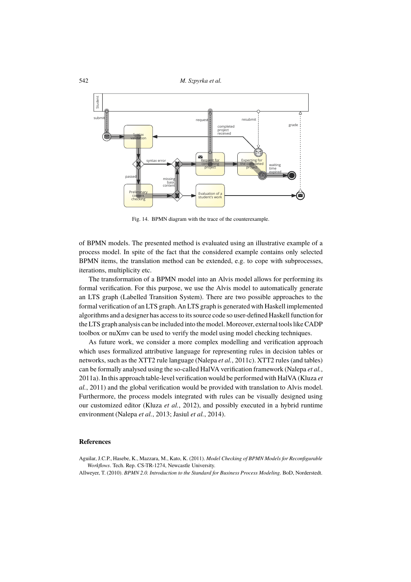

Fig. 14. BPMN diagram with the trace of the counterexample.

of BPMN models. The presented method is evaluated using an illustrative example of a process model. In spite of the fact that the considered example contains only selected BPMN items, the translation method can be extended, e.g. to cope with subprocesses, iterations, multiplicity etc.

The transformation of a BPMN model into an Alvis model allows for performing its formal verification. For this purpose, we use the Alvis model to automatically generate an LTS graph (Labelled Transition System). There are two possible approaches to the formal verification of an LTS graph. An LTS graph is generated with Haskell implemented algorithms and a designer has access to its source code so user-defined Haskell function for the LTS graph analysis can be included into the model. Moreover, external tools like CADP toolbox or nuXmv can be used to verify the model using model checking techniques.

As future work, we consider a more complex modelling and verification approach which uses formalized attributive language for representing rules in decision tables or networks, such as the XTT2 rule language (Nalepa *et al.*, 2011c). XTT2 rules (and tables) can be formally analysed using the so-called HalVA verification framework (Nalepa *et al.*, 2011a). In this approach table-level verification would be performed with HalVA (Kluza *et al.*, 2011) and the global verification would be provided with translation to Alvis model. Furthermore, the process models integrated with rules can be visually designed using our customized editor (Kluza *et al.*, 2012), and possibly executed in a hybrid runtime environment (Nalepa *et al.*, 2013; Jasiul *et al.*, 2014).

## **References**

Aguilar, J.C.P., Hasebe, K., Mazzara, M., Kato, K. (2011). *Model Checking of BPMN Models for Reconfigurable Workflows*. Tech. Rep. CS-TR-1274, Newcastle University.

Allweyer, T. (2010). *BPMN 2.0. Introduction to the Standard for Business Process Modeling*. BoD, Norderstedt.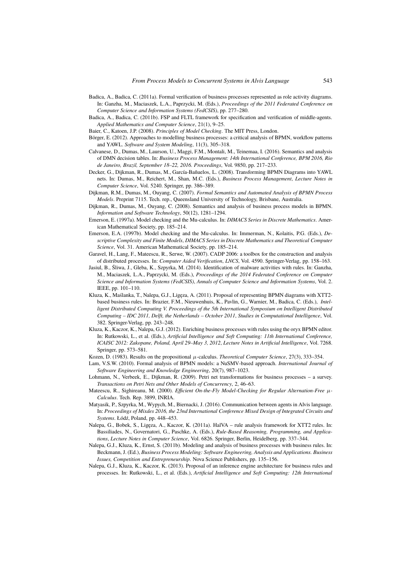- Badica, A., Badica, C. (2011a). Formal verification of business processes represented as role activity diagrams. In: Ganzha, M., Maciaszek, L.A., Paprzycki, M. (Eds.), *Proceedings of the 2011 Federated Conference on Computer Science and Information Systems (FedCSIS)*, pp. 277–280.
- Badica, A., Badica, C. (2011b). FSP and FLTL framework for specification and verification of middle-agents. *Applied Mathematics and Computer Science*, 21(1), 9–25.

Baier, C., Katoen, J.P. (2008). *Principles of Model Checking*. The MIT Press, London.

- Börger, E. (2012). Approaches to modelling business processes: a critical analysis of BPMN, workflow patterns and YAWL. *Software and System Modeling*, 11(3), 305–318.
- Calvanese, D., Dumas, M., Laurson, U., Maggi, F.M., Montali, M., Teinemaa, I. (2016). Semantics and analysis of DMN decision tables. In: *Business Process Management: 14th International Conference, BPM 2016, Rio de Janeiro, Brazil, September 18–22, 2016. Proceedings*, Vol. 9850, pp. 217–233.
- Decker, G., Dijkman, R., Dumas, M., García-Bañuelos, L. (2008). Transforming BPMN Diagrams into YAWL nets. In: Dumas, M., Reichert, M., Shan, M.C. (Eds.), *Business Process Management*, *Lecture Notes in Computer Science*, Vol. 5240. Springer, pp. 386–389.
- Dijkman, R.M., Dumas, M., Ouyang, C. (2007). *Formal Semantics and Automated Analysis of BPMN Process Models*. Preprint 7115. Tech. rep., Queensland University of Technology, Brisbane, Australia.
- Dijkman, R., Dumas, M., Ouyang, C. (2008). Semantics and analysis of business process models in BPMN. *Information and Software Technology*, 50(12), 1281–1294.
- Emerson, E. (1997a). Model checking and the Mu-calculus. In: *DIMACS Series in Discrete Mathematics*. American Mathematical Society, pp. 185–214.
- Emerson, E.A. (1997b). Model checking and the Mu-calculus. In: Immerman, N., Kolaitis, P.G. (Eds.), *Descriptive Complexity and Finite Models*, *DIMACS Series in Discrete Mathematics and Theoretical Computer Science*, Vol. 31. American Mathematical Society, pp. 185–214.
- Garavel, H., Lang, F., Mateescu, R., Serwe, W. (2007). CADP 2006: a toolbox for the construction and analysis of distributed processes. In: *Computer Aided Verification*, *LNCS*, Vol. 4590. Springer-Verlag, pp. 158–163.
- Jasiul, B., Śliwa, J., Gleba, K., Szpyrka, M. (2014). Identification of malware activities with rules. In: Ganzha, M., Maciaszek, L.A., Paprzycki, M. (Eds.), *Proceedings of the 2014 Federated Conference on Computer Science and Information Systems (FedCSIS)*, *Annals of Computer Science and Information Systems*, Vol. 2. IEEE, pp. 101–110.
- Kluza, K., Maślanka, T., Nalepa, G.J., Ligęza, A. (2011). Proposal of representing BPMN diagrams with XTT2 based business rules. In: Brazier, F.M., Nieuwenhuis, K., Pavlin, G., Warnier, M., Badica, C. (Eds.), *Intelligent Distributed Computing V. Proceedings of the 5th International Symposium on Intelligent Distributed Computing – IDC 2011, Delft, the Netherlands – October 2011*, *Studies in Computational Intelligence*, Vol. 382. Springer-Verlag, pp. 243–248.
- Kluza, K., Kaczor, K., Nalepa, G.J. (2012). Enriching business processes with rules using the oryx BPMN editor. In: Rutkowski, L., et al. (Eds.), *Artificial Intelligence and Soft Computing: 11th International Conference, ICAISC 2012: Zakopane, Poland, April 29–May 3, 2012*, *Lecture Notes in Artificial Intelligence*, Vol. 7268. Springer, pp. 573–581.
- Kozen, D. (1983). Results on the propositional  $\mu$ -calculus. *Theoretical Computer Science*, 27(3), 333–354.
- Lam, V.S.W. (2010). Formal analysis of BPMN models: a NuSMV-based approach. *International Journal of Software Engineering and Knowledge Engineering*, 20(7), 987–1023.
- Lohmann, N., Verbeek, E., Dijkman, R. (2009). Petri net transformations for business processes a survey. *Transactions on Petri Nets and Other Models of Concurrency*, 2, 46–63.
- Mateescu, R., Sighireanu, M. (2000). *Efficient On-the-Fly Model-Checking for Regular Alternation-Free* µ*-Calculus*. Tech. Rep. 3899, INRIA.
- Matyasik, P., Szpyrka, M., Wypych, M., Biernacki, J. (2016). Communication between agents in Alvis language. In: *Proceedings of Mixdes 2016, the 23nd International Conference Mixed Design of Integrated Circuits and Systems*. Łódź, Poland, pp. 448–453.
- Nalepa, G., Bobek, S., Ligęza, A., Kaczor, K. (2011a). HalVA rule analysis framework for XTT2 rules. In: Bassiliades, N., Governatori, G., Paschke, A. (Eds.), *Rule-Based Reasoning, Programming, and Applications*, *Lecture Notes in Computer Science*, Vol. 6826. Springer, Berlin, Heidelberg, pp. 337–344.
- Nalepa, G.J., Kluza, K., Ernst, S. (2011b). Modeling and analysis of business processes with business rules. In: Beckmann, J. (Ed.), *Business Process Modeling: Software Engineering, Analysis and Applications. Business Issues, Competition and Entrepreneurship*. Nova Science Publishers, pp. 135–156.
- Nalepa, G.J., Kluza, K., Kaczor, K. (2013). Proposal of an inference engine architecture for business rules and processes. In: Rutkowski, L., et al. (Eds.), *Artificial Intelligence and Soft Computing: 12th International*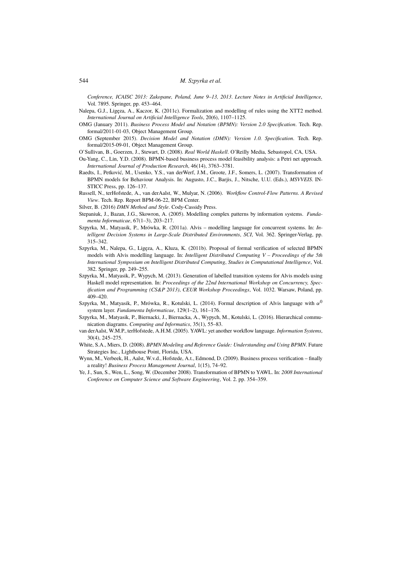*Conference, ICAISC 2013: Zakopane, Poland, June 9–13, 2013*. *Lecture Notes in Artificial Intelligence*, Vol. 7895. Springer, pp. 453–464.

Nalepa, G.J., Ligęza, A., Kaczor, K. (2011c). Formalization and modelling of rules using the XTT2 method. *International Journal on Artificial Intelligence Tools*, 20(6), 1107–1125.

- OMG (January 2011). *Business Process Model and Notation (BPMN): Version 2.0 Specification*. Tech. Rep. formal/2011-01-03, Object Management Group.
- OMG (September 2015). *Decision Model and Notation (DMN): Version 1.0. Specification*. Tech. Rep. formal/2015-09-01, Object Management Group.

O'Sullivan, B., Goerzen, J., Stewart, D. (2008). *Real World Haskell*. O'Reilly Media, Sebastopol, CA, USA.

- Ou-Yang, C., Lin, Y.D. (2008). BPMN-based business process model feasibility analysis: a Petri net approach. *International Journal of Production Research*, 46(14), 3763–3781.
- Raedts, I., Petković, M., Usenko, Y.S., van derWerf, J.M., Groote, J.F., Somers, L. (2007). Transformation of BPMN models for Behaviour Analysis. In: Augusto, J.C., Barjis, J., Nitsche, U.U. (Eds.), *MSVVEIS*. IN-STICC Press, pp. 126–137.
- Russell, N., terHofstede, A., van derAalst, W., Mulyar, N. (2006). *Workflow Control-Flow Patterns. A Revised View*. Tech. Rep. Report BPM-06-22, BPM Center.

Silver, B. (2016) *DMN Method and Style*. Cody-Cassidy Press.

- Stepaniuk, J., Bazan, J.G., Skowron, A. (2005). Modelling complex patterns by information systems. *Fundamenta Informaticae*, 67(1–3), 203–217.
- Szpyrka, M., Matyasik, P., Mrówka, R. (2011a). Alvis modelling language for concurrent systems. In: *Intelligent Decision Systems in Large-Scale Distributed Environments*, *SCI*, Vol. 362. Springer-Verlag, pp. 315–342.
- Szpyrka, M., Nalepa, G., Ligęza, A., Kluza, K. (2011b). Proposal of formal verification of selected BPMN models with Alvis modelling language. In: *Intelligent Distributed Computing V – Proceedings of the 5th International Symposium on Intelligent Distributed Computing*, *Studies in Computational Intelligence*, Vol. 382. Springer, pp. 249–255.
- Szpyrka, M., Matyasik, P., Wypych, M. (2013). Generation of labelled transition systems for Alvis models using Haskell model representation. In: *Proceedings of the 22nd International Workshop on Concurrency, Specification and Programming (CS&P 2013)*, *CEUR Workshop Proceedings*, Vol. 1032. Warsaw, Poland, pp. 409–420.
- Szpyrka, M., Matyasik, P., Mrówka, R., Kotulski, L. (2014). Formal description of Alvis language with  $\alpha^0$ system layer. *Fundamenta Informaticae*, 129(1–2), 161–176.
- Szpyrka, M., Matyasik, P., Biernacki, J., Biernacka, A., Wypych, M., Kotulski, L. (2016). Hierarchical communication diagrams. *Computing and Informatics*, 35(1), 55–83.
- van derAalst, W.M.P., terHofstede, A.H.M. (2005). YAWL: yet another workflow language. *Information Systems*, 30(4), 245–275.
- White, S.A., Miers, D. (2008). *BPMN Modeling and Reference Guide: Understanding and Using BPMN*. Future Strategies Inc., Lighthouse Point, Florida, USA.
- Wynn, M., Verbeek, H., Aalst, W.v.d., Hofstede, A.t., Edmond, D. (2009). Business process verification finally a reality! *Business Process Management Journal*, 1(15), 74–92.
- Ye, J., Sun, S., Wen, L., Song, W. (December 2008). Transformation of BPMN to YAWL. In: *2008 International Conference on Computer Science and Software Engineering*, Vol. 2. pp. 354–359.